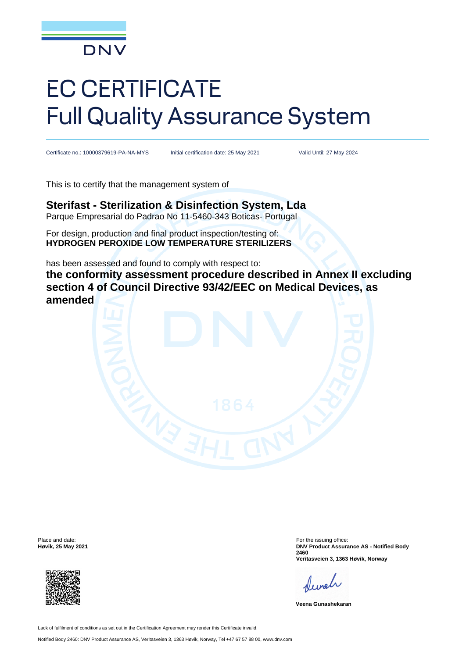

# EC CERTIFICATE Full Quality Assurance System

Certificate no.: 10000379619-PA-NA-MYS Initial certification date: 25 May 2021 Valid Until: 27 May 2024

This is to certify that the management system of

#### **Sterifast - Sterilization & Disinfection System, Lda** Parque Empresarial do Padrao No 11-5460-343 Boticas- Portugal

For design, production and final product inspection/testing of: **HYDROGEN PEROXIDE LOW TEMPERATURE STERILIZERS** 

has been assessed and found to comply with respect to:

**the conformity assessment procedure described in Annex II excluding section 4 of Council Directive 93/42/EEC on Medical Devices, as amended**

Place and date: **Høvik, 25 May 2021**



For the issuing office: **DNV Product Assurance AS - Notified Body 2460 Veritasveien 3, 1363 Høvik, Norway**

Newel

**Veena Gunashekaran**

Lack of fulfilment of conditions as set out in the Certification Agreement may render this Certificate invalid.

Notified Body 2460: DNV Product Assurance AS, Veritasveien 3, 1363 Høvik, Norway, Tel +47 67 57 88 00, www.dnv.com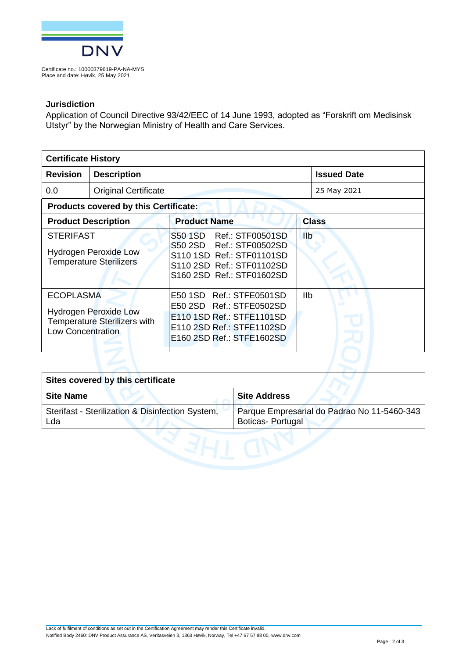

Certificate no.: 10000379619-PA-NA-MYS Place and date: Høvik, 25 May 2021

#### **Jurisdiction**

Application of Council Directive 93/42/EEC of 14 June 1993, adopted as "Forskrift om Medisinsk Utstyr" by the Norwegian Ministry of Health and Care Services.

| <b>Certificate History</b>                                                         |                                                                     |                                                                                                                                             |              |                    |  |
|------------------------------------------------------------------------------------|---------------------------------------------------------------------|---------------------------------------------------------------------------------------------------------------------------------------------|--------------|--------------------|--|
| <b>Revision</b>                                                                    | <b>Description</b>                                                  |                                                                                                                                             |              | <b>Issued Date</b> |  |
| 0.0                                                                                | <b>Original Certificate</b>                                         |                                                                                                                                             |              | 25 May 2021        |  |
| Products covered by this Certificate:                                              |                                                                     |                                                                                                                                             |              |                    |  |
| <b>Product Description</b>                                                         |                                                                     | <b>Product Name</b>                                                                                                                         | <b>Class</b> |                    |  |
| <b>STERIFAST</b><br><b>Hydrogen Peroxide Low</b><br><b>Temperature Sterilizers</b> |                                                                     | S50 1SD Ref.: STF00501SD<br>S50 2SD Ref.: STF00502SD<br>S110 1SD Ref.: STF01101SD<br>S110 2SD Ref.: STF01102SD<br>S160 2SD Ref.: STF01602SD | <b>IIb</b>   |                    |  |
| <b>ECOPLASMA</b><br><b>Low Concentration</b>                                       | <b>Hydrogen Peroxide Low</b><br><b>Temperature Sterilizers with</b> | E50 1SD Ref.: STFE0501SD<br>E50 2SD Ref.: STFE0502SD<br>E110 1SD Ref.: STFE1101SD<br>E110 2SD Ref.: STFE1102SD<br>E160 2SD Ref.: STFE1602SD | Ilb          |                    |  |
|                                                                                    |                                                                     |                                                                                                                                             |              |                    |  |

| Sites covered by this certificate                       |                                                                        |  |  |  |
|---------------------------------------------------------|------------------------------------------------------------------------|--|--|--|
| <b>Site Name</b>                                        | <b>Site Address</b>                                                    |  |  |  |
| Sterifast - Sterilization & Disinfection System,<br>Lda | Parque Empresarial do Padrao No 11-5460-343<br><b>Boticas-Portugal</b> |  |  |  |
|                                                         |                                                                        |  |  |  |